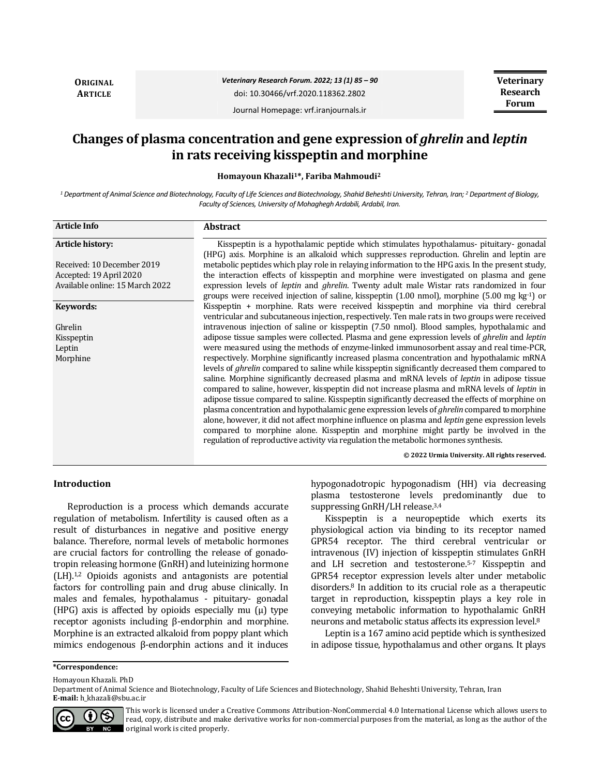**ORIGINAL ARTICLE**

# *Veterinary Research Forum. 2022; 13 (1) 85 – 90* doi: 10.30466/vrf.2020.118362.2802

**Veterinary Research Forum**

Journal Homepage: vrf.iranjournals.ir

# **Changes of plasma concentration and gene expression of** *ghrelin* **and** *leptin* **in rats receiving kisspeptin and morphine**

**Homayoun Khazali1\*, Fariba Mahmoudi<sup>2</sup>**

*<sup>1</sup> Department of Animal Science and Biotechnology, Faculty of Life Sciences and Biotechnology, Shahid Beheshti University, Tehran, Iran; <sup>2</sup> Department of Biology, Faculty of Sciences, University of Mohaghegh Ardabili, Ardabil, Iran.*

| <b>Article Info</b>             | <b>Abstract</b>                                                                                                                                                                                                                                                                                                                                                                                                                                                                                                                                                                                                                                                                                                                                                                                                                                                                                                      |
|---------------------------------|----------------------------------------------------------------------------------------------------------------------------------------------------------------------------------------------------------------------------------------------------------------------------------------------------------------------------------------------------------------------------------------------------------------------------------------------------------------------------------------------------------------------------------------------------------------------------------------------------------------------------------------------------------------------------------------------------------------------------------------------------------------------------------------------------------------------------------------------------------------------------------------------------------------------|
| <b>Article history:</b>         | Kisspeptin is a hypothalamic peptide which stimulates hypothalamus- pituitary- gonadal<br>(HPG) axis. Morphine is an alkaloid which suppresses reproduction. Ghrelin and leptin are                                                                                                                                                                                                                                                                                                                                                                                                                                                                                                                                                                                                                                                                                                                                  |
| Received: 10 December 2019      | metabolic peptides which play role in relaying information to the HPG axis. In the present study,                                                                                                                                                                                                                                                                                                                                                                                                                                                                                                                                                                                                                                                                                                                                                                                                                    |
| Accepted: 19 April 2020         | the interaction effects of kisspeptin and morphine were investigated on plasma and gene                                                                                                                                                                                                                                                                                                                                                                                                                                                                                                                                                                                                                                                                                                                                                                                                                              |
| Available online: 15 March 2022 | expression levels of <i>leptin</i> and <i>ghrelin</i> . Twenty adult male Wistar rats randomized in four<br>groups were received injection of saline, kisspeptin (1.00 nmol), morphine (5.00 mg $kg^{-1}$ ) or                                                                                                                                                                                                                                                                                                                                                                                                                                                                                                                                                                                                                                                                                                       |
| Keywords:                       | Kisspeptin + morphine. Rats were received kisspeptin and morphine via third cerebral<br>ventricular and subcutaneous injection, respectively. Ten male rats in two groups were received                                                                                                                                                                                                                                                                                                                                                                                                                                                                                                                                                                                                                                                                                                                              |
| Ghrelin                         | intravenous injection of saline or kisspeptin (7.50 nmol). Blood samples, hypothalamic and                                                                                                                                                                                                                                                                                                                                                                                                                                                                                                                                                                                                                                                                                                                                                                                                                           |
| Kisspeptin                      | adipose tissue samples were collected. Plasma and gene expression levels of <i>ghrelin</i> and <i>leptin</i>                                                                                                                                                                                                                                                                                                                                                                                                                                                                                                                                                                                                                                                                                                                                                                                                         |
| Leptin                          | were measured using the methods of enzyme-linked immunosorbent assay and real time-PCR,                                                                                                                                                                                                                                                                                                                                                                                                                                                                                                                                                                                                                                                                                                                                                                                                                              |
| Morphine                        | respectively. Morphine significantly increased plasma concentration and hypothalamic mRNA<br>levels of <i>ghrelin</i> compared to saline while kisspeptin significantly decreased them compared to<br>saline. Morphine significantly decreased plasma and mRNA levels of <i>leptin</i> in adipose tissue<br>compared to saline, however, kisspeptin did not increase plasma and mRNA levels of <i>leptin</i> in<br>adipose tissue compared to saline. Kisspeptin significantly decreased the effects of morphine on<br>plasma concentration and hypothalamic gene expression levels of <i>ghrelin</i> compared to morphine<br>alone, however, it did not affect morphine influence on plasma and <i>leptin</i> gene expression levels<br>compared to morphine alone. Kisspeptin and morphine might partly be involved in the<br>regulation of reproductive activity via regulation the metabolic hormones synthesis. |
|                                 | © 2022 Urmia University. All rights reserved.                                                                                                                                                                                                                                                                                                                                                                                                                                                                                                                                                                                                                                                                                                                                                                                                                                                                        |

## **Introduction**

Reproduction is a process which demands accurate regulation of metabolism. Infertility is caused often as a result of disturbances in negative and positive energy balance. Therefore, normal levels of metabolic hormones are crucial factors for controlling the release of gonadotropin releasing hormone (GnRH) and luteinizing hormone (LH).1,2 Opioids agonists and antagonists are potential factors for controlling pain and drug abuse clinically. In males and females, hypothalamus - pituitary- gonadal (HPG) axis is affected by opioids especially mu  $(\mu)$  type receptor agonists including β-endorphin and morphine. Morphine is an extracted alkaloid from poppy plant which mimics endogenous β-endorphin actions and it induces hypogonadotropic hypogonadism (HH) via decreasing plasma testosterone levels predominantly due to suppressing GnRH/LH release.3,4

Kisspeptin is a neuropeptide which exerts its physiological action via binding to its receptor named GPR54 receptor. The third cerebral ventricular or intravenous (IV) injection of kisspeptin stimulates GnRH and LH secretion and testosterone.5-7 Kisspeptin and GPR54 receptor expression levels alter under metabolic disorders.<sup>8</sup> In addition to its crucial role as a therapeutic target in reproduction, kisspeptin plays a key role in conveying metabolic information to hypothalamic GnRH neurons and metabolic status affects its expression level.<sup>8</sup>

Leptin is a 167 amino acid peptide which is synthesized in adipose tissue, hypothalamus and other organs. It plays

#### **\*Correspondence:**

Homayoun Khazali. PhD

Department of Animal Science and Biotechnology, Faculty of Life Sciences and Biotechnology, Shahid Beheshti University, Tehran, Iran **E-mail:** h\_khazali@sbu.ac.ir



This work is licensed under a [Creative Commons Attribution-NonCommercial 4.0 International License](http://creativecommons.org/licenses/by-nc/4.0/) which allows users to read, copy, distribute and make derivative works for non-commercial purposes from the material, as long as the author of the original work is cited properly.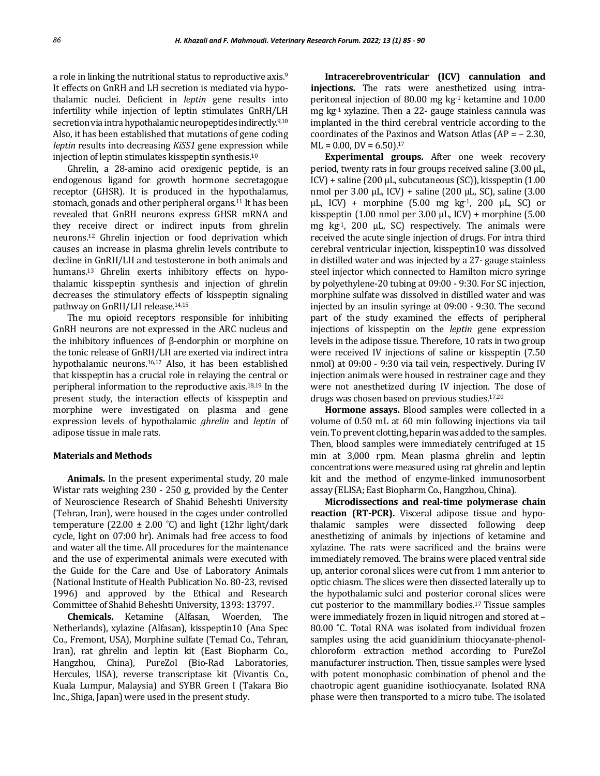a role in linking the nutritional status to reproductive axis.<sup>9</sup> It effects on GnRH and LH secretion is mediated via hypothalamic nuclei. Deficient in *leptin* gene results into infertility while injection of leptin stimulates GnRH/LH secretion via intra hypothalamic neuropeptides indirectly.9,10 Also, it has been established that mutations of gene coding *leptin* results into decreasing *KiSS1* gene expression while injection of leptin stimulates kisspeptin synthesis.<sup>10</sup>

Ghrelin, a 28-amino acid orexigenic peptide, is an endogenous ligand for growth hormone secretagogue receptor (GHSR). It is produced in the hypothalamus, stomach, gonads and other peripheral organs.<sup>11</sup> It has been revealed that GnRH neurons express GHSR mRNA and they receive direct or indirect inputs from ghrelin neurons.<sup>12</sup> Ghrelin injection or food deprivation which causes an increase in plasma ghrelin levels contribute to decline in GnRH/LH and testosterone in both animals and humans.<sup>13</sup> Ghrelin exerts inhibitory effects on hypothalamic kisspeptin synthesis and injection of ghrelin decreases the stimulatory effects of kisspeptin signaling pathway on GnRH/LH release.14,15

The mu opioid receptors responsible for inhibiting GnRH neurons are not expressed in the ARC nucleus and the inhibitory influences of β-endorphin or morphine on the tonic release of GnRH/LH are exerted via indirect intra hypothalamic neurons.16,17 Also, it has been established that kisspeptin has a crucial role in relaying the central or peripheral information to the reproductive axis.18,19 In the present study, the interaction effects of kisspeptin and morphine were investigated on plasma and gene expression levels of hypothalamic *ghrelin* and *leptin* of adipose tissue in male rats.

## **Materials and Methods**

**Animals.** In the present experimental study, 20 male Wistar rats weighing 230 - 250 g, provided by the Center of Neuroscience Research of Shahid Beheshti University (Tehran, Iran), were housed in the cages under controlled temperature (22.00  $\pm$  2.00 °C) and light (12hr light/dark cycle, light on 07:00 hr). Animals had free access to food and water all the time. All procedures for the maintenance and the use of experimental animals were executed with the Guide for the Care and Use of Laboratory Animals (National Institute of Health Publication No. 80-23, revised 1996) and approved by the Ethical and Research Committee of Shahid Beheshti University, 1393: 13797.

**Chemicals.** Ketamine (Alfasan, Woerden, The Netherlands), xylazine (Alfasan), kisspeptin10 (Ana Spec Co., Fremont, USA), Morphine sulfate (Temad Co., Tehran, Iran), rat ghrelin and leptin kit (East Biopharm Co., Hangzhou, China), PureZol (Bio-Rad Laboratories, Hercules, USA), reverse transcriptase kit (Vivantis Co., Kuala Lumpur, Malaysia) and SYBR Green I (Takara Bio Inc., Shiga, Japan) were used in the present study.

**Intracerebroventricular (ICV) cannulation and injections.** The rats were anesthetized using intraperitoneal injection of 80.00 mg kg-1 ketamine and 10.00 mg kg-1 xylazine. Then a 22- gauge stainless cannula was implanted in the third cerebral ventricle according to the coordinates of the Paxinos and Watson Atlas (AP = – 2.30,  $ML = 0.00$ ,  $DV = 6.50$ ).<sup>17</sup>

**Experimental groups.** After one week recovery period, twenty rats in four groups received saline (3.00 µL, ICV) + saline (200 µL, subcutaneous (SC)), kisspeptin (1.00 nmol per  $3.00 \mu L$ , ICV) + saline (200  $\mu L$ , SC), saline (3.00  $\mu$ L, ICV) + morphine (5.00 mg kg-1, 200  $\mu$ L, SC) or kisspeptin (1.00 nmol per  $3.00 \mu L$ , ICV) + morphine (5.00 mg kg-1, 200 µL, SC) respectively. The animals were received the acute single injection of drugs. For intra third cerebral ventricular injection, kisspeptin10 was dissolved in distilled water and was injected by a 27- gauge stainless steel injector which connected to Hamilton micro syringe by polyethylene-20 tubing at 09:00 - 9:30. For SC injection, morphine sulfate was dissolved in distilled water and was injected by an insulin syringe at 09:00 - 9:30. The second part of the study examined the effects of peripheral injections of kisspeptin on the *leptin* gene expression levels in the adipose tissue. Therefore, 10 rats in two group were received IV injections of saline or kisspeptin (7.50 nmol) at 09:00 - 9:30 via tail vein, respectively. During IV injection animals were housed in restrainer cage and they were not anesthetized during IV injection. The dose of drugs was chosen based on previous studies.17,20

**Hormone assays.** Blood samples were collected in a volume of 0.50 mL at 60 min following injections via tail vein. To prevent clotting, heparin was added to the samples. Then, blood samples were immediately centrifuged at 15 min at 3,000 rpm. Mean plasma ghrelin and leptin concentrations were measured using rat ghrelin and leptin kit and the method of enzyme-linked immunosorbent assay (ELISA; East Biopharm Co., Hangzhou, China).

**Microdissections and real-time polymerase chain reaction (RT-PCR).** Visceral adipose tissue and hypothalamic samples were dissected following deep anesthetizing of animals by injections of ketamine and xylazine. The rats were sacrificed and the brains were immediately removed. The brains were placed ventral side up, anterior coronal slices were cut from 1 mm anterior to optic chiasm. The slices were then dissected laterally up to the hypothalamic sulci and posterior coronal slices were cut posterior to the mammillary bodies.17 Tissue samples were immediately frozen in liquid nitrogen and stored at – 80.00 ˚C. Total RNA was isolated from individual frozen samples using the acid guanidinium thiocyanate-phenolchloroform extraction method according to PureZol manufacturer instruction. Then, tissue samples were lysed with potent monophasic combination of phenol and the chaotropic agent guanidine isothiocyanate. Isolated RNA phase were then transported to a micro tube. The isolated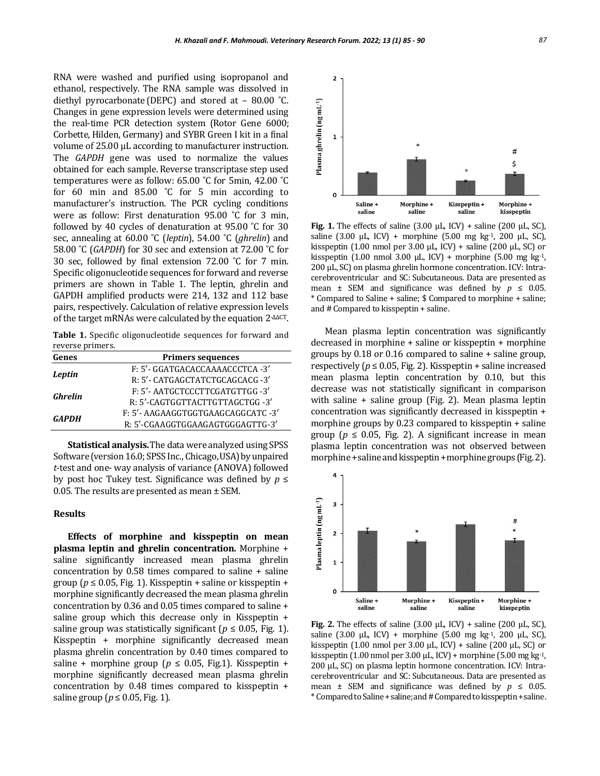RNA were washed and purified using isopropanol and ethanol, respectively. The RNA sample was dissolved in diethyl pyrocarbonate (DEPC) and stored at – 80.00 ˚C. Changes in gene expression levels were determined using the real-time PCR detection system (Rotor Gene 6000; Corbette, Hilden, Germany) and SYBR Green I kit in a final volume of 25.00 µL according to manufacturer instruction. The *GAPDH* gene was used to normalize the values obtained for each sample. Reverse transcriptase step used temperatures were as follow: 65.00 ˚C for 5min, 42.00 ˚C for 60 min and 85.00 ˚C for 5 min according to manufacturer's instruction. The PCR cycling conditions were as follow: First denaturation 95.00 ˚C for 3 min, followed by 40 cycles of denaturation at 95.00 ˚C for 30 sec, annealing at 60.00 ˚C (*leptin*), 54.00 ˚C (*ghrelin*) and 58.00 ˚C (*GAPDH*) for 30 sec and extension at 72.00 ˚C for 30 sec, followed by final extension 72.00 ˚C for 7 min. Specific oligonucleotide sequences for forward and reverse primers are shown in Table 1. The leptin, ghrelin and GAPDH amplified products were 214, 132 and 112 base pairs, respectively. Calculation of relative expression levels of the target mRNAs were calculated by the equation 2-ΔΔCT.

**Table 1.** Specific oligonucleotide sequences for forward and reverse primers.

| Genes        | <b>Primers sequences</b>           |
|--------------|------------------------------------|
| Leptin       | F: 5'- GGATGACACCAAAACCCTCA -3'    |
|              | R: 5'- CATGAGCTATCTGCAGCACG -3'    |
| Ghrelin      | F: 5'- AATGCTCCCTTCGATGTTGG -3'    |
|              | R: 5'-CAGTGGTTACTTGTTAGCTGG-3'     |
| <b>GAPDH</b> | F: 5'- AAGAAGGTGGTGAAGCAGGCATC -3' |
|              | R: 5'-CGAAGGTGGAAGAGTGGGAGTTG-3'   |
|              |                                    |

**Statistical analysis.**The data were analyzed using SPSS Software (version 16.0; SPSS Inc., Chicago, USA) by unpaired *t*-test and one- way analysis of variance (ANOVA) followed by post hoc Tukey test. Significance was defined by *p* ≤ 0.05*.* The results are presented as mean ± SEM.

### **Results**

**Effects of morphine and kisspeptin on mean plasma leptin and ghrelin concentration.** Morphine + saline significantly increased mean plasma ghrelin concentration by 0.58 times compared to saline + saline group ( $p \le 0.05$ , Fig. 1). Kisspeptin + saline or kisspeptin + morphine significantly decreased the mean plasma ghrelin concentration by 0.36 and 0.05 times compared to saline + saline group which this decrease only in Kisspeptin + saline group was statistically significant ( $p \leq 0.05$ , Fig. 1). Kisspeptin + morphine significantly decreased mean plasma ghrelin concentration by 0.40 times compared to saline + morphine group ( $p \le 0.05$ , Fig.1). Kisspeptin + morphine significantly decreased mean plasma ghrelin concentration by 0.48 times compared to kisspeptin + saline group ( $p \le 0.05$ , Fig. 1).



**Fig. 1.** The effects of saline (3.00 µL, ICV) + saline (200 µL, SC), saline (3.00 µL, ICV) + morphine (5.00 mg kg-1, 200 µL, SC), kisspeptin (1.00 nmol per 3.00 µL, ICV) + saline (200 µL, SC) or kisspeptin (1.00 nmol 3.00  $\mu$ L, ICV) + morphine (5.00 mg kg-1, 200 µL, SC) on plasma ghrelin hormone concentration. ICV: Intracerebroventricular and SC: Subcutaneous. Data are presented as mean  $\pm$  SEM and significance was defined by  $p \le 0.05$ . \* Compared to Saline + saline; \$ Compared to morphine + saline; and # Compared to kisspeptin + saline.

Mean plasma leptin concentration was significantly decreased in morphine + saline or kisspeptin + morphine groups by 0.18 or 0.16 compared to saline + saline group, respectively ( $p \le 0.05$ , Fig. 2). Kisspeptin + saline increased mean plasma leptin concentration by 0.10, but this decrease was not statistically significant in comparison with saline + saline group (Fig. 2). Mean plasma leptin concentration was significantly decreased in kisspeptin + morphine groups by 0.23 compared to kisspeptin + saline group ( $p \le 0.05$ , Fig. 2). A significant increase in mean plasma leptin concentration was not observed between morphine + saline and kisspeptin + morphine groups (Fig. 2).



**Fig. 2.** The effects of saline (3.00 µL, ICV) + saline (200 µL, SC), saline (3.00 µL, ICV) + morphine (5.00 mg kg-1, 200 µL, SC), kisspeptin (1.00 nmol per 3.00 µL, ICV) + saline (200 µL, SC) or kisspeptin (1.00 nmol per 3.00  $\mu$ L, ICV) + morphine (5.00 mg kg-1, 200 µL, SC) on plasma leptin hormone concentration. ICV: Intracerebroventricular and SC: Subcutaneous. Data are presented as mean  $\pm$  SEM and significance was defined by  $p \leq 0.05$ . \* Compared to Saline + saline; and # Compared to kisspeptin + saline.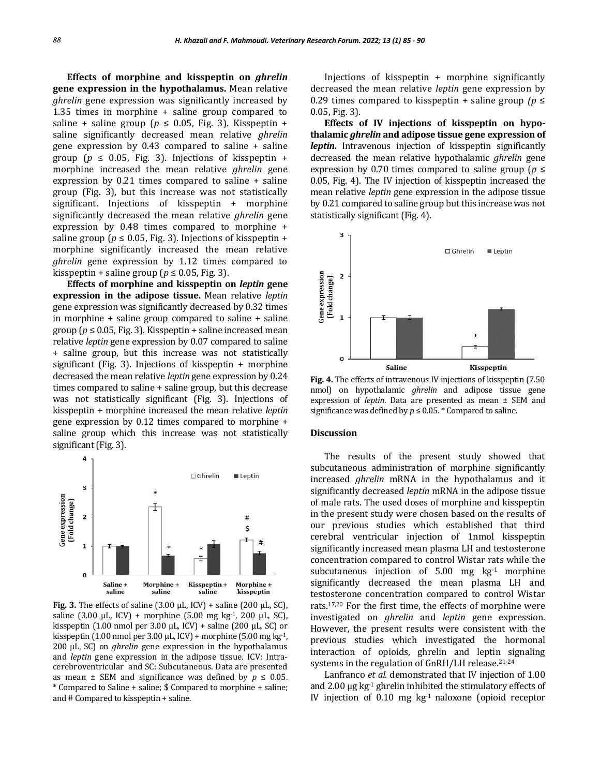**Effects of morphine and kisspeptin on** *ghrelin* **gene expression in the hypothalamus.** Mean relative *ghrelin* gene expression was significantly increased by 1.35 times in morphine + saline group compared to saline + saline group ( $p \le 0.05$ , Fig. 3). Kisspeptin + saline significantly decreased mean relative *ghrelin*  gene expression by 0.43 compared to saline + saline group ( $p \le 0.05$ , Fig. 3). Injections of kisspeptin + morphine increased the mean relative *ghrelin* gene expression by 0.21 times compared to saline + saline group (Fig. 3), but this increase was not statistically significant. Injections of kisspeptin + morphine significantly decreased the mean relative *ghrelin* gene expression by 0.48 times compared to morphine + saline group ( $p \le 0.05$ , Fig. 3). Injections of kisspeptin + morphine significantly increased the mean relative *ghrelin* gene expression by 1.12 times compared to kisspeptin + saline group ( $p \le 0.05$ , Fig. 3).

**Effects of morphine and kisspeptin on** *leptin* **gene expression in the adipose tissue.** Mean relative *leptin* gene expression was significantly decreased by 0.32 times in morphine + saline group compared to saline + saline group ( $p \le 0.05$ , Fig. 3). Kisspeptin + saline increased mean relative *leptin* gene expression by 0.07 compared to saline + saline group, but this increase was not statistically significant (Fig. 3). Injections of kisspeptin + morphine decreased the mean relative *leptin* gene expression by 0.24 times compared to saline + saline group, but this decrease was not statistically significant (Fig. 3). Injections of kisspeptin + morphine increased the mean relative *leptin* gene expression by 0.12 times compared to morphine + saline group which this increase was not statistically significant (Fig. 3).



**Fig. 3.** The effects of saline  $(3.00 \mu L, ICV)$  + saline  $(200 \mu L, SC)$ , saline (3.00 µL, ICV) + morphine (5.00 mg kg-1, 200 µL, SC), kisspeptin (1.00 nmol per 3.00  $\mu$ L, ICV) + saline (200  $\mu$ L, SC) or kisspeptin (1.00 nmol per 3.00  $\mu$ L, ICV) + morphine (5.00 mg kg-1, 200 µL, SC) on *ghrelin* gene expression in the hypothalamus and *leptin* gene expression in the adipose tissue. ICV: Intracerebroventricular and SC: Subcutaneous. Data are presented as mean  $\pm$  SEM and significance was defined by  $p \leq 0.05$ . \* Compared to Saline + saline; \$ Compared to morphine + saline; and # Compared to kisspeptin + saline.

Injections of kisspeptin + morphine significantly decreased the mean relative *leptin* gene expression by 0.29 times compared to kisspeptin + saline group *(p* ≤ 0.05, Fig. 3).

**Effects of IV injections of kisspeptin on hypothalamic** *ghrelin* **and adipose tissue gene expression of** *leptin.* Intravenous injection of kisspeptin significantly decreased the mean relative hypothalamic *ghrelin* gene expression by 0.70 times compared to saline group (*p* ≤ 0.05, Fig. 4). The IV injection of kisspeptin increased the mean relative *leptin* gene expression in the adipose tissue by 0.21 compared to saline group but this increase was not statistically significant (Fig. 4).



**Fig. 4.** The effects of intravenous IV injections of kisspeptin (7.50 nmol) on hypothalamic *ghrelin* and adipose tissue gene expression of *leptin*. Data are presented as mean ± SEM and significance was defined by  $p \leq 0.05$ . \* Compared to saline.

#### **Discussion**

The results of the present study showed that subcutaneous administration of morphine significantly increased *ghrelin* mRNA in the hypothalamus and it significantly decreased *leptin* mRNA in the adipose tissue of male rats. The used doses of morphine and kisspeptin in the present study were chosen based on the results of our previous studies which established that third cerebral ventricular injection of 1nmol kisspeptin significantly increased mean plasma LH and testosterone concentration compared to control Wistar rats while the subcutaneous injection of  $5.00$  mg  $kg<sup>-1</sup>$  morphine significantly decreased the mean plasma LH and testosterone concentration compared to control Wistar rats.17,20 For the first time, the effects of morphine were investigated on *ghrelin* and *leptin* gene expression. However, the present results were consistent with the previous studies which investigated the hormonal interaction of opioids, ghrelin and leptin signaling systems in the regulation of GnRH/LH release.<sup>21-24</sup>

Lanfranco *et al.* demonstrated that IV injection of 1.00 and 2.00 µg kg-1 ghrelin inhibited the stimulatory effects of IV injection of 0.10 mg kg-1 naloxone (opioid receptor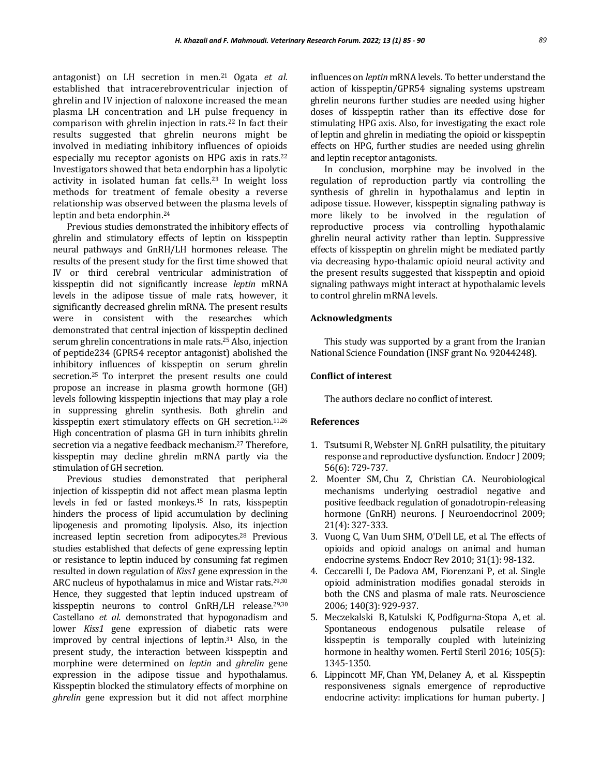antagonist) on LH secretion in men.<sup>21</sup> Ogata *et al.*  established that intracerebroventricular injection of ghrelin and IV injection of naloxone increased the mean plasma LH concentration and LH pulse frequency in comparison with ghrelin injection in rats.<sup>22</sup> In fact their results suggested that ghrelin neurons might be involved in mediating inhibitory influences of opioids especially mu receptor agonists on HPG axis in rats.<sup>22</sup> Investigators showed that beta endorphin has a lipolytic activity in isolated human fat cells.<sup>23</sup> In weight loss methods for treatment of female obesity a reverse relationship was observed between the plasma levels of leptin and beta endorphin.<sup>24</sup>

Previous studies demonstrated the inhibitory effects of ghrelin and stimulatory effects of leptin on kisspeptin neural pathways and GnRH/LH hormones release. The results of the present study for the first time showed that IV or third cerebral ventricular administration of kisspeptin did not significantly increase *leptin* mRNA levels in the adipose tissue of male rats, however, it significantly decreased ghrelin mRNA. The present results were in consistent with the researches which demonstrated that central injection of kisspeptin declined serum ghrelin concentrations in male rats.<sup>25</sup> Also, injection of peptide234 (GPR54 receptor antagonist) abolished the inhibitory influences of kisspeptin on serum ghrelin secretion.25 To interpret the present results one could propose an increase in plasma growth hormone (GH) levels following kisspeptin injections that may play a role in suppressing ghrelin synthesis. Both ghrelin and kisspeptin exert stimulatory effects on GH secretion.11,26 High concentration of plasma GH in turn inhibits ghrelin secretion via a negative feedback mechanism.<sup>27</sup> Therefore, kisspeptin may decline ghrelin mRNA partly via the stimulation of GH secretion.

Previous studies demonstrated that peripheral injection of kisspeptin did not affect mean plasma leptin levels in fed or fasted monkeys.<sup>15</sup> In rats, kisspeptin hinders the process of lipid accumulation by declining lipogenesis and promoting lipolysis. Also, its injection increased leptin secretion from adipocytes.<sup>28</sup> Previous studies established that defects of gene expressing leptin or resistance to leptin induced by consuming fat regimen resulted in down regulation of *Kiss1* gene expression in the ARC nucleus of hypothalamus in mice and Wistar rats.<sup>29,30</sup> Hence, they suggested that leptin induced upstream of kisspeptin neurons to control GnRH/LH release.29,30 Castellano *et al.* demonstrated that hypogonadism and lower *Kiss1* gene expression of diabetic rats were improved by central injections of leptin.<sup>31</sup> Also, in the present study, the interaction between kisspeptin and morphine were determined on *leptin* and *ghrelin* gene expression in the adipose tissue and hypothalamus. Kisspeptin blocked the stimulatory effects of morphine on *ghrelin* gene expression but it did not affect morphine influences on *leptin* mRNA levels. To better understand the action of kisspeptin/GPR54 signaling systems upstream ghrelin neurons further studies are needed using higher doses of kisspeptin rather than its effective dose for stimulating HPG axis. Also, for investigating the exact role of leptin and ghrelin in mediating the opioid or kisspeptin effects on HPG, further studies are needed using ghrelin and leptin receptor antagonists.

In conclusion, morphine may be involved in the regulation of reproduction partly via controlling the synthesis of ghrelin in hypothalamus and leptin in adipose tissue. However, kisspeptin signaling pathway is more likely to be involved in the regulation of reproductive process via controlling hypothalamic ghrelin neural activity rather than leptin. Suppressive effects of kisspeptin on ghrelin might be mediated partly via decreasing hypo-thalamic opioid neural activity and the present results suggested that kisspeptin and opioid signaling pathways might interact at hypothalamic levels to control ghrelin mRNA levels.

## **Acknowledgments**

This study was supported by a grant from the Iranian National Science Foundation (INSF grant No. 92044248).

### **Conflict of interest**

The authors declare no conflict of interest.

## **References**

- 1. Tsutsumi R, Webster NJ. GnRH pulsatility, the pituitary response and reproductive dysfunction. Endocr J 2009; 56(6): 729-737.
- 2. Moenter SM, Chu Z, Christian CA. Neurobiological mechanisms underlying oestradiol negative and positive feedback regulation of gonadotropin-releasing hormone (GnRH) neurons. J Neuroendocrinol 2009; 21(4): 327-333.
- 3. Vuong C, Van Uum SHM, O'Dell LE, et al. The effects of opioids and opioid analogs on animal and human endocrine systems. Endocr Rev 2010; 31(1): 98-132.
- 4. Ceccarelli I, De Padova AM, Fiorenzani P, et al. Single opioid administration modifies gonadal steroids in both the CNS and plasma of male rats. Neuroscience 2006; 140(3): 929-937.
- 5. Meczekalski B, Katulski K, Podfigurna-Stopa A, et al. Spontaneous endogenous pulsatile release of kisspeptin is temporally coupled with luteinizing hormone in healthy women. Fertil Steril 2016; 105(5): 1345-1350.
- 6. Lippincott MF, Chan YM, Delaney A, et al. Kisspeptin responsiveness signals emergence of reproductive endocrine activity: implications for human puberty. J